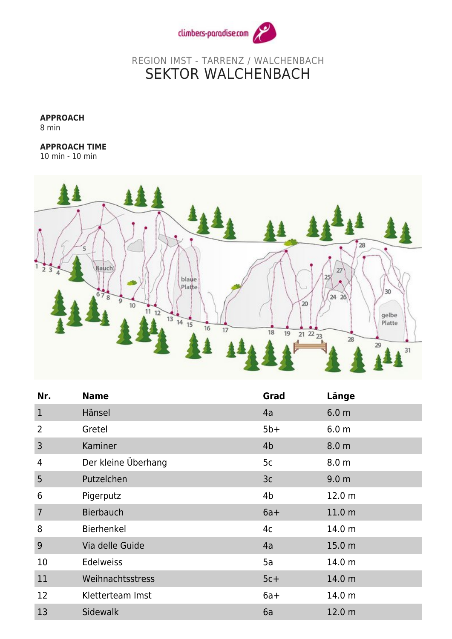

## REGION IMST - TARRENZ / WALCHENBACH SEKTOR WALCHENBACH

**APPROACH**

8 min

## **APPROACH TIME**

10 min - 10 min



| Nr.            | <b>Name</b>         | Grad           | Länge             |
|----------------|---------------------|----------------|-------------------|
| $\mathbf 1$    | Hänsel              | 4a             | 6.0 <sub>m</sub>  |
| 2              | Gretel              | $5b+$          | 6.0 <sub>m</sub>  |
| 3              | Kaminer             | 4 <sub>b</sub> | 8.0 <sub>m</sub>  |
| 4              | Der kleine Überhang | 5c             | 8.0 <sub>m</sub>  |
| 5              | Putzelchen          | 3 <sub>c</sub> | 9.0 <sub>m</sub>  |
| 6              | Pigerputz           | 4b             | 12.0 m            |
| $\overline{7}$ | <b>Bierbauch</b>    | $6a+$          | 11.0 <sub>m</sub> |
| 8              | Bierhenkel          | 4c             | 14.0 m            |
| 9              | Via delle Guide     | 4a             | 15.0 <sub>m</sub> |
| 10             | <b>Edelweiss</b>    | 5a             | 14.0 m            |
| 11             | Weihnachtsstress    | $5c+$          | 14.0 m            |
| 12             | Kletterteam Imst    | $6a+$          | 14.0 m            |
| 13             | <b>Sidewalk</b>     | 6a             | 12.0 <sub>m</sub> |